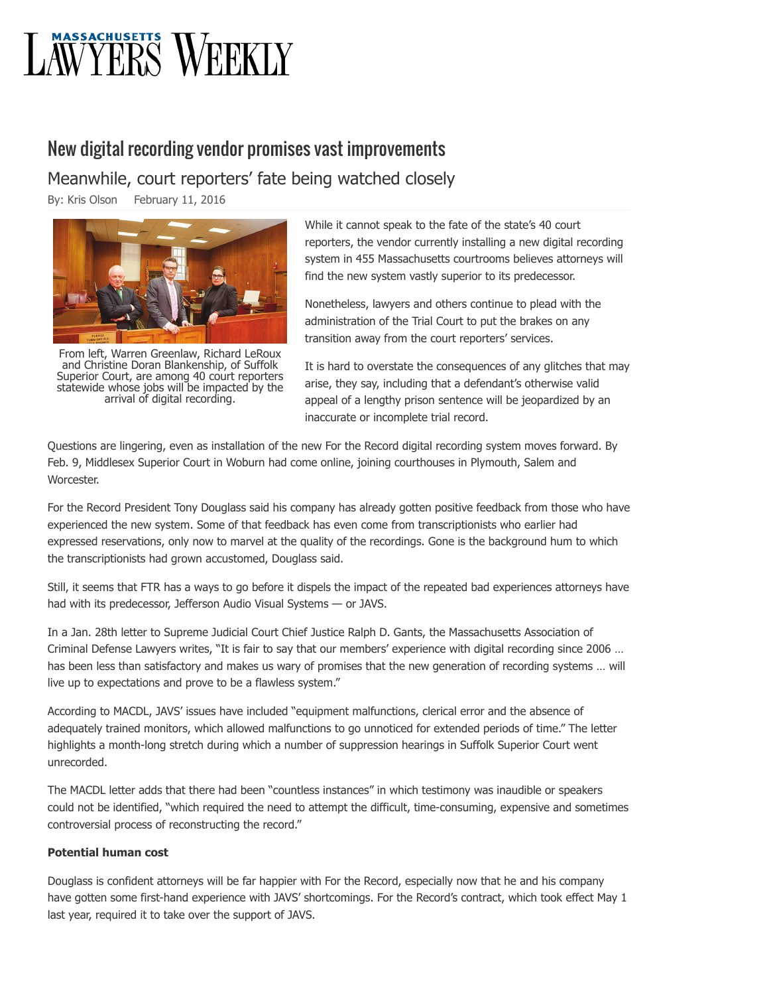# **AWYERS WEEKLY**

## New digital recording vendor promises vast improvements

Meanwhile, court reporters' fate being watched closely

By: [Kris Olson](http://masslawyersweekly.com/author/kris/) February 11, 2016



From left, Warren Greenlaw, Richard LeRoux and Christine Doran Blankenship, of Suffolk Superior Court, are among 40 court reporters statewide whose jobs will be impacted by the arrival of digital recording.

While it cannot speak to the fate of the state's 40 court reporters, the vendor currently installing a new digital recording system in 455 Massachusetts courtrooms believes attorneys will find the new system vastly superior to its predecessor.

Nonetheless, lawyers and others continue to plead with the administration of the Trial Court to put the brakes on any transition away from the court reporters' services.

It is hard to overstate the consequences of any glitches that may arise, they say, including that a defendant's otherwise valid appeal of a lengthy prison sentence will be jeopardized by an inaccurate or incomplete trial record.

Questions are lingering, even as installation of the new For the Record digital recording system moves forward. By Feb. 9, Middlesex Superior Court in Woburn had come online, joining courthouses in Plymouth, Salem and Worcester.

For the Record President Tony Douglass said his company has already gotten positive feedback from those who have experienced the new system. Some of that feedback has even come from transcriptionists who earlier had expressed reservations, only now to marvel at the quality of the recordings. Gone is the background hum to which the transcriptionists had grown accustomed, Douglass said.

Still, it seems that FTR has a ways to go before it dispels the impact of the repeated bad experiences attorneys have had with its predecessor, Jefferson Audio Visual Systems — or JAVS.

In a Jan. 28th letter to Supreme Judicial Court Chief Justice Ralph D. Gants, the Massachusetts Association of Criminal Defense Lawyers writes, "It is fair to say that our members' experience with digital recording since 2006 … has been less than satisfactory and makes us wary of promises that the new generation of recording systems … will live up to expectations and prove to be a flawless system."

According to MACDL, JAVS' issues have included "equipment malfunctions, clerical error and the absence of adequately trained monitors, which allowed malfunctions to go unnoticed for extended periods of time." The letter highlights a month-long stretch during which a number of suppression hearings in Suffolk Superior Court went unrecorded.

The MACDL letter adds that there had been "countless instances" in which testimony was inaudible or speakers could not be identified, "which required the need to attempt the difficult, time-consuming, expensive and sometimes controversial process of reconstructing the record."

### **Potential human cost**

Douglass is confident attorneys will be far happier with For the Record, especially now that he and his company have gotten some first-hand experience with JAVS' shortcomings. For the Record's contract, which took effect May 1 last year, required it to take over the support of JAVS.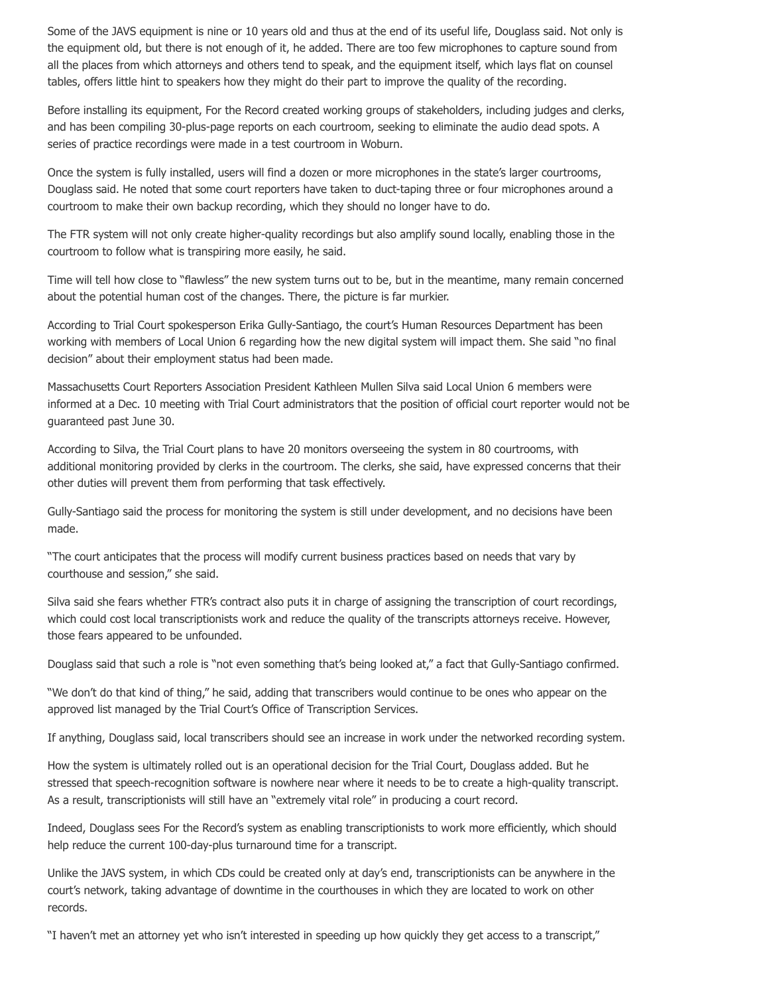Some of the JAVS equipment is nine or 10 years old and thus at the end of its useful life, Douglass said. Not only is the equipment old, but there is not enough of it, he added. There are too few microphones to capture sound from all the places from which attorneys and others tend to speak, and the equipment itself, which lays flat on counsel tables, offers little hint to speakers how they might do their part to improve the quality of the recording.

Before installing its equipment, For the Record created working groups of stakeholders, including judges and clerks, and has been compiling 30-plus-page reports on each courtroom, seeking to eliminate the audio dead spots. A series of practice recordings were made in a test courtroom in Woburn.

Once the system is fully installed, users will find a dozen or more microphones in the state's larger courtrooms, Douglass said. He noted that some court reporters have taken to duct-taping three or four microphones around a courtroom to make their own backup recording, which they should no longer have to do.

The FTR system will not only create higher-quality recordings but also amplify sound locally, enabling those in the courtroom to follow what is transpiring more easily, he said.

Time will tell how close to "flawless" the new system turns out to be, but in the meantime, many remain concerned about the potential human cost of the changes. There, the picture is far murkier.

According to Trial Court spokesperson Erika Gully-Santiago, the court's Human Resources Department has been working with members of Local Union 6 regarding how the new digital system will impact them. She said "no final decision" about their employment status had been made.

Massachusetts Court Reporters Association President Kathleen Mullen Silva said Local Union 6 members were informed at a Dec. 10 meeting with Trial Court administrators that the position of official court reporter would not be guaranteed past June 30.

According to Silva, the Trial Court plans to have 20 monitors overseeing the system in 80 courtrooms, with additional monitoring provided by clerks in the courtroom. The clerks, she said, have expressed concerns that their other duties will prevent them from performing that task effectively.

Gully-Santiago said the process for monitoring the system is still under development, and no decisions have been made.

"The court anticipates that the process will modify current business practices based on needs that vary by courthouse and session," she said.

Silva said she fears whether FTR's contract also puts it in charge of assigning the transcription of court recordings, which could cost local transcriptionists work and reduce the quality of the transcripts attorneys receive. However, those fears appeared to be unfounded.

Douglass said that such a role is "not even something that's being looked at," a fact that Gully-Santiago confirmed.

"We don't do that kind of thing," he said, adding that transcribers would continue to be ones who appear on the approved list managed by the Trial Court's Office of Transcription Services.

If anything, Douglass said, local transcribers should see an increase in work under the networked recording system.

How the system is ultimately rolled out is an operational decision for the Trial Court, Douglass added. But he stressed that speech-recognition software is nowhere near where it needs to be to create a high-quality transcript. As a result, transcriptionists will still have an "extremely vital role" in producing a court record.

Indeed, Douglass sees For the Record's system as enabling transcriptionists to work more efficiently, which should help reduce the current 100-day-plus turnaround time for a transcript.

Unlike the JAVS system, in which CDs could be created only at day's end, transcriptionists can be anywhere in the court's network, taking advantage of downtime in the courthouses in which they are located to work on other records.

"I haven't met an attorney yet who isn't interested in speeding up how quickly they get access to a transcript,"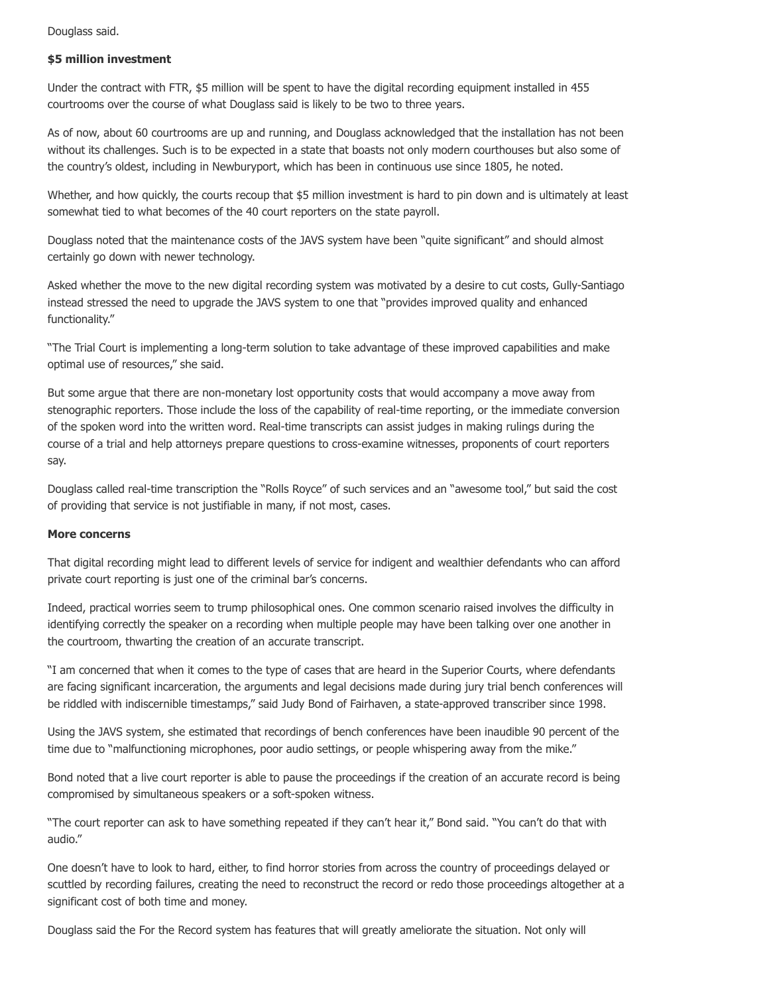Douglass said.

#### **\$5 million investment**

Under the contract with FTR, \$5 million will be spent to have the digital recording equipment installed in 455 courtrooms over the course of what Douglass said is likely to be two to three years.

As of now, about 60 courtrooms are up and running, and Douglass acknowledged that the installation has not been without its challenges. Such is to be expected in a state that boasts not only modern courthouses but also some of the country's oldest, including in Newburyport, which has been in continuous use since 1805, he noted.

Whether, and how quickly, the courts recoup that \$5 million investment is hard to pin down and is ultimately at least somewhat tied to what becomes of the 40 court reporters on the state payroll.

Douglass noted that the maintenance costs of the JAVS system have been "quite significant" and should almost certainly go down with newer technology.

Asked whether the move to the new digital recording system was motivated by a desire to cut costs, Gully-Santiago instead stressed the need to upgrade the JAVS system to one that "provides improved quality and enhanced functionality."

"The Trial Court is implementing a long-term solution to take advantage of these improved capabilities and make optimal use of resources," she said.

But some argue that there are non-monetary lost opportunity costs that would accompany a move away from stenographic reporters. Those include the loss of the capability of real-time reporting, or the immediate conversion of the spoken word into the written word. Real-time transcripts can assist judges in making rulings during the course of a trial and help attorneys prepare questions to cross-examine witnesses, proponents of court reporters say.

Douglass called real-time transcription the "Rolls Royce" of such services and an "awesome tool," but said the cost of providing that service is not justifiable in many, if not most, cases.

#### **More concerns**

That digital recording might lead to different levels of service for indigent and wealthier defendants who can afford private court reporting is just one of the criminal bar's concerns.

Indeed, practical worries seem to trump philosophical ones. One common scenario raised involves the difficulty in identifying correctly the speaker on a recording when multiple people may have been talking over one another in the courtroom, thwarting the creation of an accurate transcript.

"I am concerned that when it comes to the type of cases that are heard in the Superior Courts, where defendants are facing significant incarceration, the arguments and legal decisions made during jury trial bench conferences will be riddled with indiscernible timestamps," said Judy Bond of Fairhaven, a state-approved transcriber since 1998.

Using the JAVS system, she estimated that recordings of bench conferences have been inaudible 90 percent of the time due to "malfunctioning microphones, poor audio settings, or people whispering away from the mike."

Bond noted that a live court reporter is able to pause the proceedings if the creation of an accurate record is being compromised by simultaneous speakers or a soft-spoken witness.

"The court reporter can ask to have something repeated if they can't hear it," Bond said. "You can't do that with audio."

One doesn't have to look to hard, either, to find horror stories from across the country of proceedings delayed or scuttled by recording failures, creating the need to reconstruct the record or redo those proceedings altogether at a significant cost of both time and money.

Douglass said the For the Record system has features that will greatly ameliorate the situation. Not only will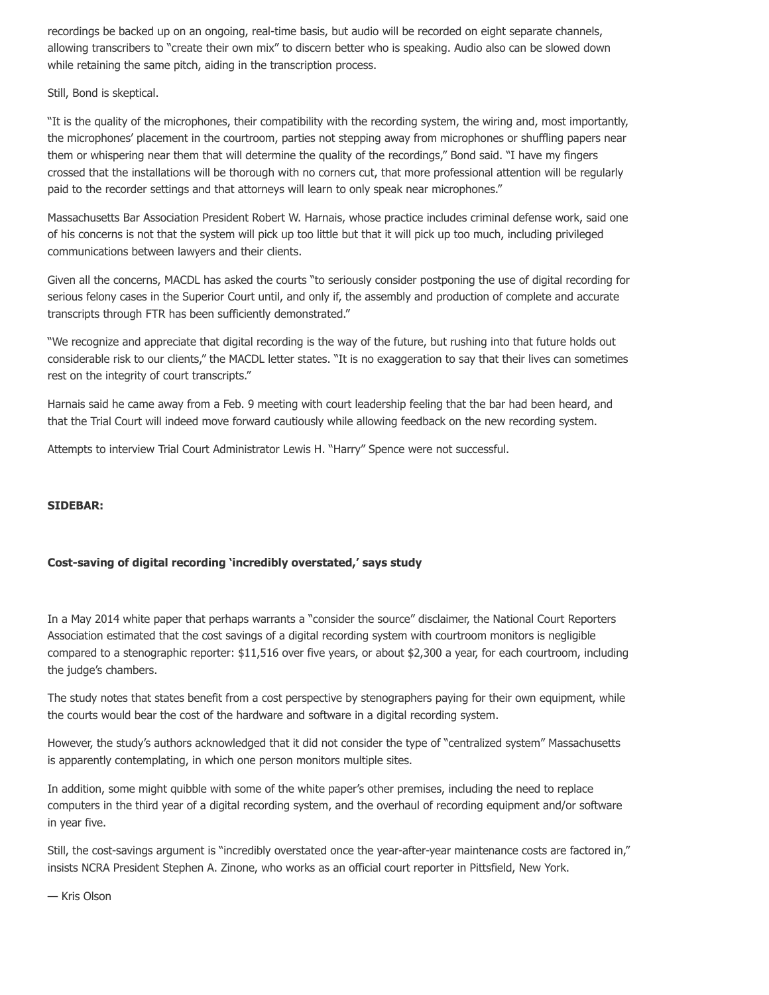recordings be backed up on an ongoing, real-time basis, but audio will be recorded on eight separate channels, allowing transcribers to "create their own mix" to discern better who is speaking. Audio also can be slowed down while retaining the same pitch, aiding in the transcription process.

#### Still, Bond is skeptical.

"It is the quality of the microphones, their compatibility with the recording system, the wiring and, most importantly, the microphones' placement in the courtroom, parties not stepping away from microphones or shuffling papers near them or whispering near them that will determine the quality of the recordings," Bond said. "I have my fingers crossed that the installations will be thorough with no corners cut, that more professional attention will be regularly paid to the recorder settings and that attorneys will learn to only speak near microphones."

Massachusetts Bar Association President Robert W. Harnais, whose practice includes criminal defense work, said one of his concerns is not that the system will pick up too little but that it will pick up too much, including privileged communications between lawyers and their clients.

Given all the concerns, MACDL has asked the courts "to seriously consider postponing the use of digital recording for serious felony cases in the Superior Court until, and only if, the assembly and production of complete and accurate transcripts through FTR has been sufficiently demonstrated."

"We recognize and appreciate that digital recording is the way of the future, but rushing into that future holds out considerable risk to our clients," the MACDL letter states. "It is no exaggeration to say that their lives can sometimes rest on the integrity of court transcripts."

Harnais said he came away from a Feb. 9 meeting with court leadership feeling that the bar had been heard, and that the Trial Court will indeed move forward cautiously while allowing feedback on the new recording system.

Attempts to interview Trial Court Administrator Lewis H. "Harry" Spence were not successful.

#### **SIDEBAR:**

#### **Cost-saving of digital recording 'incredibly overstated,' says study**

In a May 2014 white paper that perhaps warrants a "consider the source" disclaimer, the National Court Reporters Association estimated that the cost savings of a digital recording system with courtroom monitors is negligible compared to a stenographic reporter: \$11,516 over five years, or about \$2,300 a year, for each courtroom, including the judge's chambers.

The study notes that states benefit from a cost perspective by stenographers paying for their own equipment, while the courts would bear the cost of the hardware and software in a digital recording system.

However, the study's authors acknowledged that it did not consider the type of "centralized system" Massachusetts is apparently contemplating, in which one person monitors multiple sites.

In addition, some might quibble with some of the white paper's other premises, including the need to replace computers in the third year of a digital recording system, and the overhaul of recording equipment and/or software in year five.

Still, the cost-savings argument is "incredibly overstated once the year-after-year maintenance costs are factored in," insists NCRA President Stephen A. Zinone, who works as an official court reporter in Pittsfield, New York.

— Kris Olson